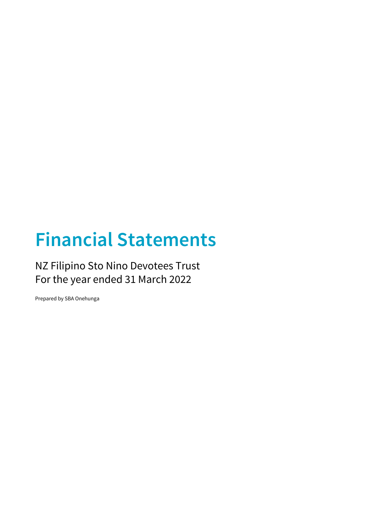# **Financial Statements**

NZ Filipino Sto Nino Devotees Trust For the year ended 31 March 2022

Prepared by SBA Onehunga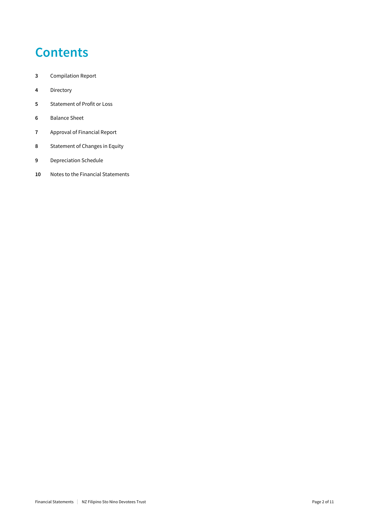## **Contents**

- Compilation Report
- Directory
- Statement of Profit or Loss
- Balance Sheet
- Approval of Financial Report
- Statement of Changes in Equity
- Depreciation Schedule
- Notes to the Financial Statements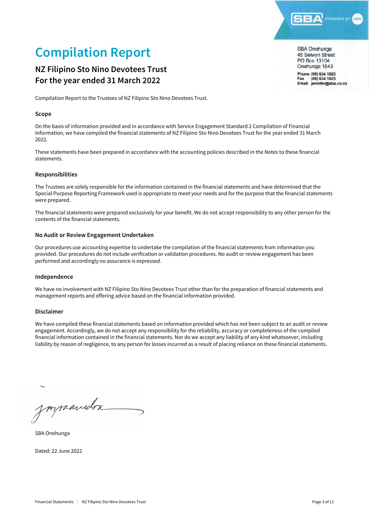

## **Compilation Report**

### **NZ Filipino Sto Nino Devotees Trust For the year ended 31 March 2022**

**SBA Onehunga** 46 Selwyn Street PO Box 13104 Onehunga 1643

Phone (09) 634 1620  $(09) 634 1623$ Fax Email jennifer@sba.co.nz

Compilation Report to the Trustees of NZ Filipino Sto Nino Devotees Trust.

### **Scope**

On the basis of information provided and in accordance with Service Engagement Standard 2 Compilation of Financial Information, we have compiled the financial statements of NZ Filipino Sto Nino Devotees Trust for the year ended 31 March 2022.

These statements have been prepared in accordance with the accounting policies described in the Notes to these financial statements.

#### **Responsibilities**

The Trustees are solely responsible for the information contained in the financial statements and have determined that the Special Purpose Reporting Framework used is appropriate to meet your needs and for the purpose that the financial statements were prepared.

The financial statements were prepared exclusively for your benefit. We do not accept responsibility to any other person for the contents of the financial statements.

#### **No Audit or Review Engagement Undertaken**

Our procedures use accounting expertise to undertake the compilation of the financial statements from information you provided. Our procedures do not include verification or validation procedures. No audit or review engagement has been performed and accordingly no assurance is expressed.

#### **Independence**

We have no involvement with NZ Filipino Sto Nino Devotees Trust other than for the preparation of financial statements and management reports and offering advice based on the financial information provided.

#### **Disclaimer**

We have compiled these financial statements based on information provided which has not been subject to an audit or review engagement. Accordingly, we do not accept any responsibility for the reliability, accuracy or completeness of the compiled financial information contained in the financial statements. Nor do we accept any liability of any kind whatsoever, including liability by reason of negligence, to any person for losses incurred as a result of placing reliance on these financial statements.

Jonvancobra La company and the second service

SBA Onehunga

Dated: 22 June 2022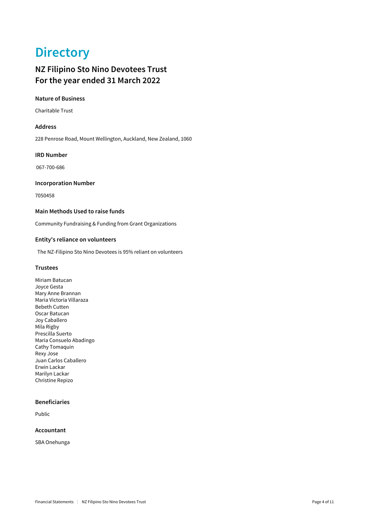## **Directory**

### **NZ Filipino Sto Nino Devotees Trust For the year ended 31 March 2022**

### **Nature of Business**

Charitable Trust

### **Address**

228 Penrose Road, Mount Wellington, Auckland, New Zealand, 1060

### **IRD Number**

067-700-686

### **Incorporation Number**

7050458

### **Main Methods Used to raise funds**

Community Fundraising & Funding from Grant Organizations

### **Entity's reliance on volunteers**

The NZ-Filipino Sto Nino Devotees is 95% reliant on volunteers

### **Trustees**

Miriam Batucan Joyce Gesta Mary Anne Brannan Maria Victoria Villaraza Bebeth Cutten Oscar Batucan Joy Caballero Mila Rigby Prescilla Suerto Maria Consuelo Abadingo Cathy Tomaquin Rexy Jose Juan Carlos Caballero Erwin Lackar Marilyn Lackar Christine Repizo

### **Beneficiaries**

Public

### **Accountant**

SBA Onehunga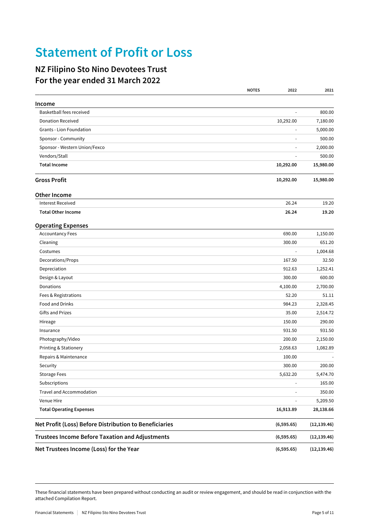## **Statement of Profit or Loss**

### **NZ Filipino Sto Nino Devotees Trust For the year ended 31 March 2022**

|                                                        | <b>NOTES</b><br>2022     | 2021         |
|--------------------------------------------------------|--------------------------|--------------|
| Income                                                 |                          |              |
| Basketball fees received                               | $\overline{\phantom{a}}$ | 800.00       |
| <b>Donation Received</b>                               | 10,292.00                | 7,180.00     |
| Grants - Lion Foundation                               |                          | 5,000.00     |
| Sponsor - Community                                    |                          | 500.00       |
| Sponsor - Western Union/Fexco                          |                          | 2,000.00     |
| Vendors/Stall                                          | $\overline{\phantom{a}}$ | 500.00       |
| <b>Total Income</b>                                    | 10,292.00                | 15,980.00    |
| <b>Gross Profit</b>                                    | 10,292.00                | 15,980.00    |
| <b>Other Income</b>                                    |                          |              |
| Interest Received                                      | 26.24                    | 19.20        |
| <b>Total Other Income</b>                              | 26.24                    | 19.20        |
| <b>Operating Expenses</b>                              |                          |              |
| <b>Accountancy Fees</b>                                | 690.00                   | 1,150.00     |
| Cleaning                                               | 300.00                   | 651.20       |
| Costumes                                               | $\overline{\phantom{a}}$ | 1,004.68     |
| Decorations/Props                                      | 167.50                   | 32.50        |
| Depreciation                                           | 912.63                   | 1,252.41     |
| Design & Layout                                        | 300.00                   | 600.00       |
| Donations                                              | 4,100.00                 | 2,700.00     |
| Fees & Registrations                                   | 52.20                    | 51.11        |
| Food and Drinks                                        | 984.23                   | 2,328.45     |
| Gifts and Prizes                                       | 35.00                    | 2,514.72     |
| Hireage                                                | 150.00                   | 290.00       |
| Insurance                                              | 931.50                   | 931.50       |
| Photography/Video                                      | 200.00                   | 2,150.00     |
| Printing & Stationery                                  | 2,058.63                 | 1,082.89     |
| Repairs & Maintenance                                  | 100.00                   |              |
| Security                                               | 300.00                   | 200.00       |
| <b>Storage Fees</b>                                    | 5,632.20                 | 5,474.70     |
| Subscriptions                                          |                          | 165.00       |
| Travel and Accommodation                               |                          | 350.00       |
| Venue Hire                                             |                          | 5,209.50     |
| <b>Total Operating Expenses</b>                        | 16,913.89                | 28,138.66    |
| Net Profit (Loss) Before Distribution to Beneficiaries | (6,595.65)               | (12, 139.46) |
| <b>Trustees Income Before Taxation and Adjustments</b> | (6, 595.65)              | (12, 139.46) |
| Net Trustees Income (Loss) for the Year                | (6, 595.65)              | (12, 139.46) |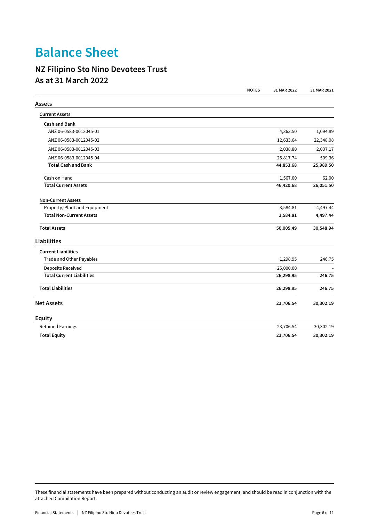## **Balance Sheet**

### **NZ Filipino Sto Nino Devotees Trust As at 31 March 2022**

|                                  | <b>NOTES</b> | 31 MAR 2022 | 31 MAR 2021 |
|----------------------------------|--------------|-------------|-------------|
| <b>Assets</b>                    |              |             |             |
| <b>Current Assets</b>            |              |             |             |
| <b>Cash and Bank</b>             |              |             |             |
| ANZ 06-0583-0012045-01           |              | 4,363.50    | 1,094.89    |
| ANZ 06-0583-0012045-02           |              | 12,633.64   | 22,348.08   |
| ANZ 06-0583-0012045-03           |              | 2,038.80    | 2,037.17    |
| ANZ 06-0583-0012045-04           |              | 25,817.74   | 509.36      |
| <b>Total Cash and Bank</b>       |              | 44,853.68   | 25,989.50   |
| Cash on Hand                     |              | 1,567.00    | 62.00       |
| <b>Total Current Assets</b>      |              | 46,420.68   | 26,051.50   |
| <b>Non-Current Assets</b>        |              |             |             |
| Property, Plant and Equipment    |              | 3,584.81    | 4,497.44    |
| <b>Total Non-Current Assets</b>  |              | 3,584.81    | 4,497.44    |
| <b>Total Assets</b>              |              | 50,005.49   | 30,548.94   |
| Liabilities                      |              |             |             |
| <b>Current Liabilities</b>       |              |             |             |
| Trade and Other Payables         |              | 1,298.95    | 246.75      |
| Deposits Received                |              | 25,000.00   |             |
| <b>Total Current Liabilities</b> |              | 26,298.95   | 246.75      |
| <b>Total Liabilities</b>         |              | 26,298.95   | 246.75      |
| <b>Net Assets</b>                |              | 23,706.54   | 30,302.19   |
| <b>Equity</b>                    |              |             |             |
| <b>Retained Earnings</b>         |              | 23,706.54   | 30,302.19   |
| <b>Total Equity</b>              |              | 23,706.54   | 30,302.19   |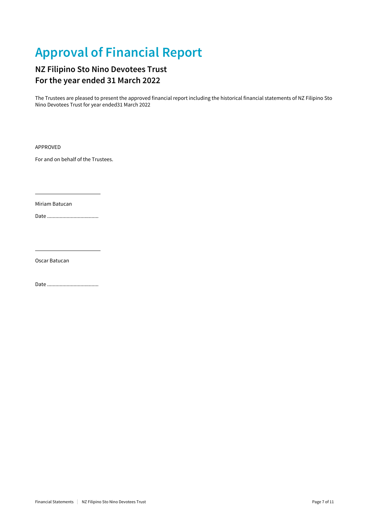## **Approval of Financial Report**

### **NZ Filipino Sto Nino Devotees Trust For the year ended 31 March 2022**

The Trustees are pleased to present the approved financial report including the historical financial statements of NZ Filipino Sto Nino Devotees Trust for year ended31 March 2022

APPROVED

For and on behalf of the Trustees.

Miriam Batucan

Date .....................................

Oscar Batucan

Date .....................................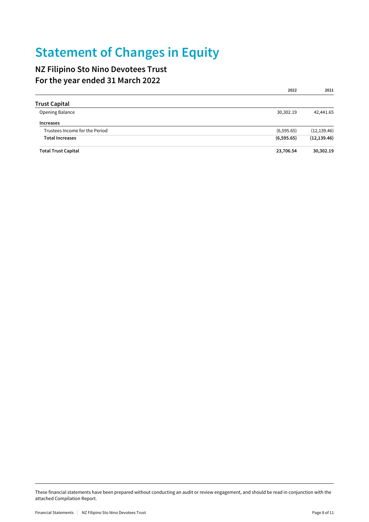## **Statement of Changes in Equity**

### **NZ Filipino Sto Nino Devotees Trust For the year ended 31 March 2022**

|                                | 2022       | 2021         |
|--------------------------------|------------|--------------|
| <b>Trust Capital</b>           |            |              |
| Opening Balance                | 30,302.19  | 42,441.65    |
| <b>Increases</b>               |            |              |
| Trustees Income for the Period | (6,595.65) | (12, 139.46) |
| <b>Total Increases</b>         | (6,595.65) | (12, 139.46) |
| <b>Total Trust Capital</b>     | 23,706.54  | 30,302.19    |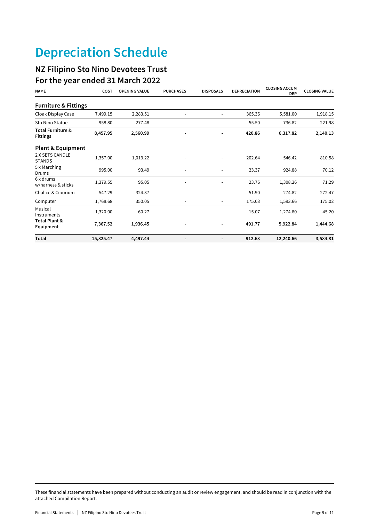## **Depreciation Schedule**

### **NZ Filipino Sto Nino Devotees Trust For the year ended 31 March 2022**

| ,<br><b>NAME</b>                                | COST      | <b>OPENING VALUE</b> | <b>PURCHASES</b>         | <b>DISPOSALS</b> | <b>DEPRECIATION</b> | <b>CLOSING ACCUM</b><br><b>DEP</b> | <b>CLOSING VALUE</b> |
|-------------------------------------------------|-----------|----------------------|--------------------------|------------------|---------------------|------------------------------------|----------------------|
| <b>Furniture &amp; Fittings</b>                 |           |                      |                          |                  |                     |                                    |                      |
| Cloak Display Case                              | 7,499.15  | 2,283.51             |                          |                  | 365.36              | 5,581.00                           | 1,918.15             |
| <b>Sto Nino Statue</b>                          | 958.80    | 277.48               |                          | ٠                | 55.50               | 736.82                             | 221.98               |
| <b>Total Furniture &amp;</b><br><b>Fittings</b> | 8,457.95  | 2,560.99             |                          |                  | 420.86              | 6,317.82                           | 2,140.13             |
| <b>Plant &amp; Equipment</b>                    |           |                      |                          |                  |                     |                                    |                      |
| 2 X SETS CANDLE<br><b>STANDS</b>                | 1,357.00  | 1,013.22             |                          |                  | 202.64              | 546.42                             | 810.58               |
| 5 x Marching<br>Drums                           | 995.00    | 93.49                | $\overline{\phantom{a}}$ |                  | 23.37               | 924.88                             | 70.12                |
| 6 x drums<br>w/harness & sticks                 | 1,379.55  | 95.05                |                          |                  | 23.76               | 1,308.26                           | 71.29                |
| Chalice & Ciborium                              | 547.29    | 324.37               |                          |                  | 51.90               | 274.82                             | 272.47               |
| Computer                                        | 1,768.68  | 350.05               |                          |                  | 175.03              | 1,593.66                           | 175.02               |
| Musical<br>Instruments                          | 1,320.00  | 60.27                |                          |                  | 15.07               | 1,274.80                           | 45.20                |
| Total Plant &<br>Equipment                      | 7,367.52  | 1,936.45             | $\overline{\phantom{a}}$ |                  | 491.77              | 5,922.84                           | 1,444.68             |
| Total                                           | 15,825.47 | 4.497.44             | $\blacksquare$           |                  | 912.63              | 12,240.66                          | 3,584.81             |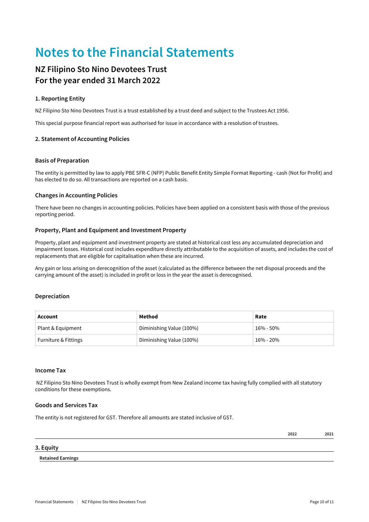## **Notes to the Financial Statements**

### **NZ Filipino Sto Nino Devotees Trust For the year ended 31 March 2022**

### **1. Reporting Entity**

NZ Filipino Sto Nino Devotees Trust is a trust established by a trust deed and subject to the Trustees Act 1956.

This special purpose financial report was authorised for issue in accordance with a resolution of trustees.

### **2. Statement of Accounting Policies**

### **Basis of Preparation**

The entity is permitted by law to apply PBE SFR-C (NFP) Public Benefit Entity Simple Format Reporting - cash (Not for Profit) and has elected to do so. All transactions are reported on a cash basis.

### **Changes in Accounting Policies**

There have been no changes in accounting policies. Policies have been applied on a consistent basis with those of the previous reporting period.

### **Property, Plant and Equipment and Investment Property**

Property, plant and equipment and investment property are stated at historical cost less any accumulated depreciation and impairment losses. Historical cost includes expenditure directly attributable to the acquisition of assets, and includes the cost of replacements that are eligible for capitalisation when these are incurred.

Any gain or loss arising on derecognition of the asset (calculated as the difference between the net disposal proceeds and the carrying amount of the asset) is included in profit or loss in the year the asset is derecognised.

#### **Depreciation**

| Account              | Method                   | Rate      |
|----------------------|--------------------------|-----------|
| Plant & Equipment    | Diminishing Value (100%) | 16% - 50% |
| Furniture & Fittings | Diminishing Value (100%) | 16% - 20% |

#### **Income Tax**

 NZ Filipino Sto Nino Devotees Trust is wholly exempt from New Zealand income tax having fully complied with all statutory conditions for these exemptions.

### **Goods and Services Tax**

The entity is not registered for GST. Therefore all amounts are stated inclusive of GST.

**2022 2021**

#### **3. Equity**

#### **Retained Earnings**